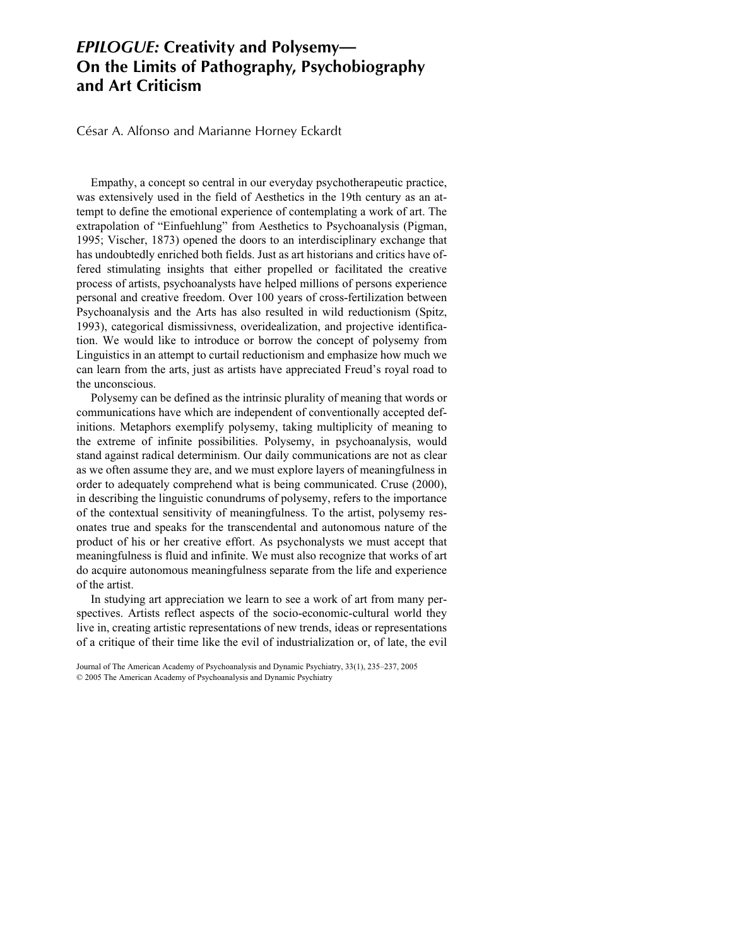## *EPILOGUE:* **Creativity and Polysemy— On the Limits of Pathography, Psychobiography and Art Criticism**

César A. Alfonso and Marianne Horney Eckardt

Empathy, a concept so central in our everyday psychotherapeutic practice, was extensively used in the field of Aesthetics in the 19th century as an attempt to define the emotional experience of contemplating a work of art. The extrapolation of "Einfuehlung" from Aesthetics to Psychoanalysis (Pigman, 1995; Vischer, 1873) opened the doors to an interdisciplinary exchange that has undoubtedly enriched both fields. Just as art historians and critics have offered stimulating insights that either propelled or facilitated the creative process of artists, psychoanalysts have helped millions of persons experience personal and creative freedom. Over 100 years of cross-fertilization between Psychoanalysis and the Arts has also resulted in wild reductionism (Spitz, 1993), categorical dismissivness, overidealization, and projective identification. We would like to introduce or borrow the concept of polysemy from Linguistics in an attempt to curtail reductionism and emphasize how much we can learn from the arts, just as artists have appreciated Freud's royal road to the unconscious.

Polysemy can be defined as the intrinsic plurality of meaning that words or communications have which are independent of conventionally accepted definitions. Metaphors exemplify polysemy, taking multiplicity of meaning to the extreme of infinite possibilities. Polysemy, in psychoanalysis, would stand against radical determinism. Our daily communications are not as clear as we often assume they are, and we must explore layers of meaningfulness in order to adequately comprehend what is being communicated. Cruse (2000), in describing the linguistic conundrums of polysemy, refers to the importance of the contextual sensitivity of meaningfulness. To the artist, polysemy resonates true and speaks for the transcendental and autonomous nature of the product of his or her creative effort. As psychonalysts we must accept that meaningfulness is fluid and infinite. We must also recognize that works of art do acquire autonomous meaningfulness separate from the life and experience of the artist.

In studying art appreciation we learn to see a work of art from many perspectives. Artists reflect aspects of the socio-economic-cultural world they live in, creating artistic representations of new trends, ideas or representations of a critique of their time like the evil of industrialization or, of late, the evil

Journal of The American Academy of Psychoanalysis and Dynamic Psychiatry, 33(1), 235–237, 2005 © 2005 The American Academy of Psychoanalysis and Dynamic Psychiatry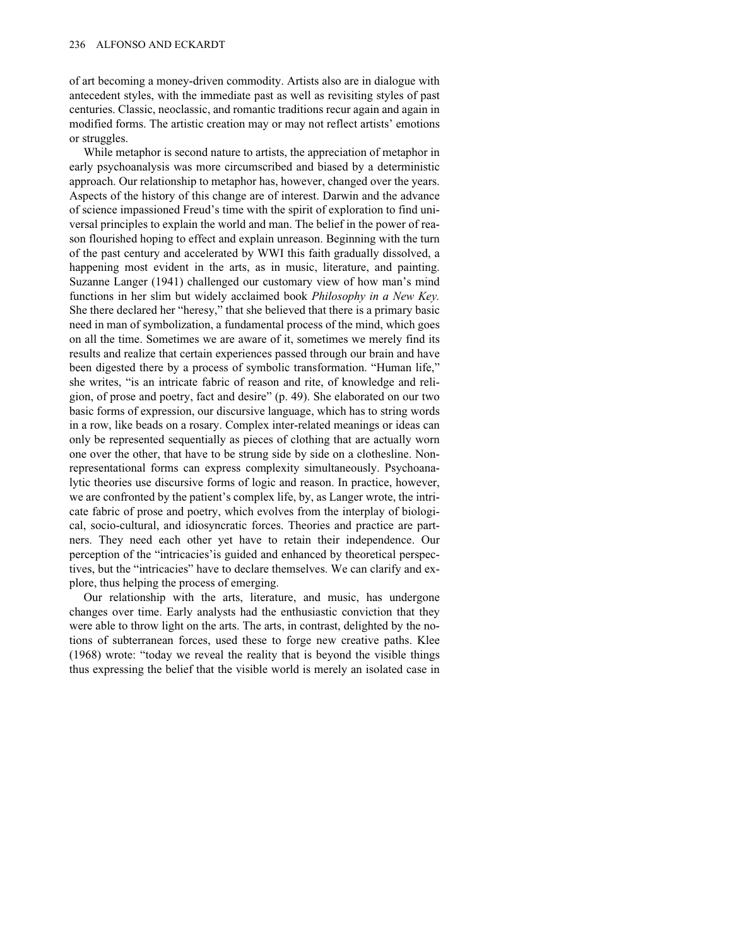of art becoming a money-driven commodity. Artists also are in dialogue with antecedent styles, with the immediate past as well as revisiting styles of past centuries. Classic, neoclassic, and romantic traditions recur again and again in modified forms. The artistic creation may or may not reflect artists' emotions or struggles.

While metaphor is second nature to artists, the appreciation of metaphor in early psychoanalysis was more circumscribed and biased by a deterministic approach. Our relationship to metaphor has, however, changed over the years. Aspects of the history of this change are of interest. Darwin and the advance of science impassioned Freud's time with the spirit of exploration to find universal principles to explain the world and man. The belief in the power of reason flourished hoping to effect and explain unreason. Beginning with the turn of the past century and accelerated by WWI this faith gradually dissolved, a happening most evident in the arts, as in music, literature, and painting. Suzanne Langer (1941) challenged our customary view of how man's mind functions in her slim but widely acclaimed book *Philosophy in a New Key.* She there declared her "heresy," that she believed that there is a primary basic need in man of symbolization, a fundamental process of the mind, which goes on all the time. Sometimes we are aware of it, sometimes we merely find its results and realize that certain experiences passed through our brain and have been digested there by a process of symbolic transformation. "Human life," she writes, "is an intricate fabric of reason and rite, of knowledge and religion, of prose and poetry, fact and desire" (p. 49). She elaborated on our two basic forms of expression, our discursive language, which has to string words in a row, like beads on a rosary. Complex inter-related meanings or ideas can only be represented sequentially as pieces of clothing that are actually worn one over the other, that have to be strung side by side on a clothesline. Nonrepresentational forms can express complexity simultaneously. Psychoanalytic theories use discursive forms of logic and reason. In practice, however, we are confronted by the patient's complex life, by, as Langer wrote, the intricate fabric of prose and poetry, which evolves from the interplay of biological, socio-cultural, and idiosyncratic forces. Theories and practice are partners. They need each other yet have to retain their independence. Our perception of the "intricacies'is guided and enhanced by theoretical perspectives, but the "intricacies" have to declare themselves. We can clarify and explore, thus helping the process of emerging.

Our relationship with the arts, literature, and music, has undergone changes over time. Early analysts had the enthusiastic conviction that they were able to throw light on the arts. The arts, in contrast, delighted by the notions of subterranean forces, used these to forge new creative paths. Klee (1968) wrote: "today we reveal the reality that is beyond the visible things thus expressing the belief that the visible world is merely an isolated case in